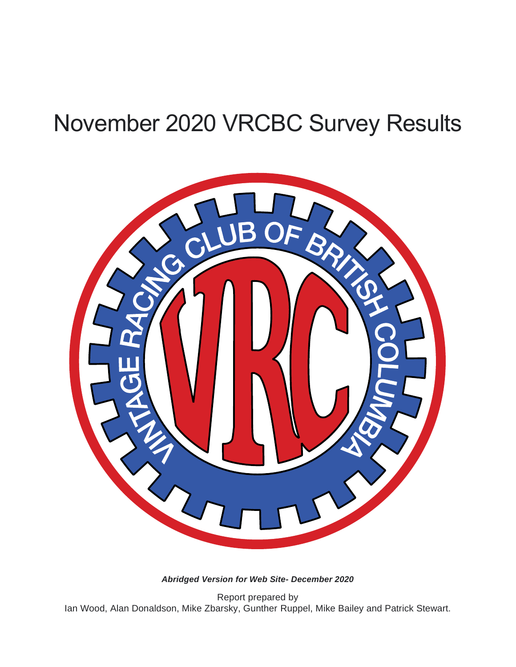# November 2020 VRCBC Survey Results



*Abridged Version for Web Site- December 2020*

Report prepared by Ian Wood, Alan Donaldson, Mike Zbarsky, Gunther Ruppel, Mike Bailey and Patrick Stewart.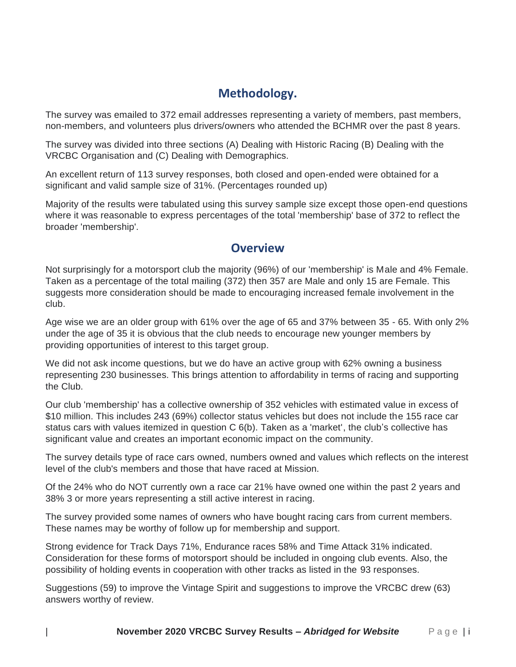## **Methodology.**

The survey was emailed to 372 email addresses representing a variety of members, past members, non-members, and volunteers plus drivers/owners who attended the BCHMR over the past 8 years.

The survey was divided into three sections (A) Dealing with Historic Racing (B) Dealing with the VRCBC Organisation and (C) Dealing with Demographics.

An excellent return of 113 survey responses, both closed and open-ended were obtained for a significant and valid sample size of 31%. (Percentages rounded up)

Majority of the results were tabulated using this survey sample size except those open-end questions where it was reasonable to express percentages of the total 'membership' base of 372 to reflect the broader 'membership'.

#### **Overview**

Not surprisingly for a motorsport club the majority (96%) of our 'membership' is Male and 4% Female. Taken as a percentage of the total mailing (372) then 357 are Male and only 15 are Female. This suggests more consideration should be made to encouraging increased female involvement in the club.

Age wise we are an older group with 61% over the age of 65 and 37% between 35 - 65. With only 2% under the age of 35 it is obvious that the club needs to encourage new younger members by providing opportunities of interest to this target group.

We did not ask income questions, but we do have an active group with 62% owning a business representing 230 businesses. This brings attention to affordability in terms of racing and supporting the Club.

Our club 'membership' has a collective ownership of 352 vehicles with estimated value in excess of \$10 million. This includes 243 (69%) collector status vehicles but does not include the 155 race car status cars with values itemized in question C 6(b). Taken as a 'market', the club's collective has significant value and creates an important economic impact on the community.

The survey details type of race cars owned, numbers owned and values which reflects on the interest level of the club's members and those that have raced at Mission.

Of the 24% who do NOT currently own a race car 21% have owned one within the past 2 years and 38% 3 or more years representing a still active interest in racing.

The survey provided some names of owners who have bought racing cars from current members. These names may be worthy of follow up for membership and support.

Strong evidence for Track Days 71%, Endurance races 58% and Time Attack 31% indicated. Consideration for these forms of motorsport should be included in ongoing club events. Also, the possibility of holding events in cooperation with other tracks as listed in the 93 responses.

Suggestions (59) to improve the Vintage Spirit and suggestions to improve the VRCBC drew (63) answers worthy of review.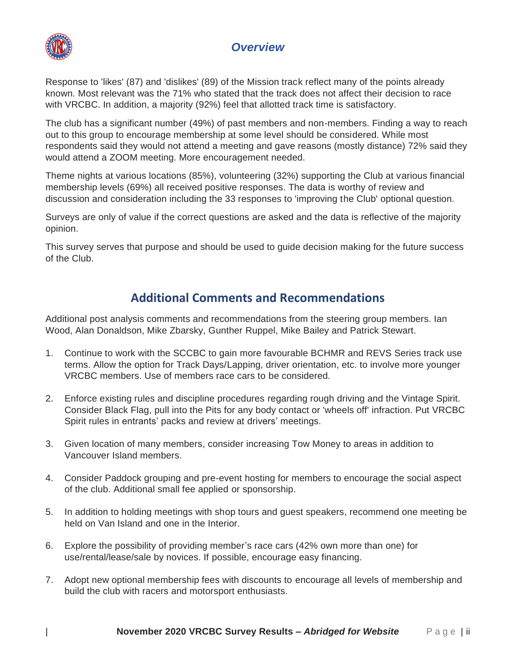#### *Overview*



Response to 'likes' (87) and 'dislikes' (89) of the Mission track reflect many of the points already known. Most relevant was the 71% who stated that the track does not affect their decision to race with VRCBC. In addition, a majority (92%) feel that allotted track time is satisfactory.

The club has a significant number (49%) of past members and non-members. Finding a way to reach out to this group to encourage membership at some level should be considered. While most respondents said they would not attend a meeting and gave reasons (mostly distance) 72% said they would attend a ZOOM meeting. More encouragement needed.

Theme nights at various locations (85%), volunteering (32%) supporting the Club at various financial membership levels (69%) all received positive responses. The data is worthy of review and discussion and consideration including the 33 responses to 'improving the Club' optional question.

Surveys are only of value if the correct questions are asked and the data is reflective of the majority opinion.

This survey serves that purpose and should be used to guide decision making for the future success of the Club.

## **Additional Comments and Recommendations**

Additional post analysis comments and recommendations from the steering group members. Ian Wood, Alan Donaldson, Mike Zbarsky, Gunther Ruppel, Mike Bailey and Patrick Stewart.

- 1. Continue to work with the SCCBC to gain more favourable BCHMR and REVS Series track use terms. Allow the option for Track Days/Lapping, driver orientation, etc. to involve more younger VRCBC members. Use of members race cars to be considered.
- 2. Enforce existing rules and discipline procedures regarding rough driving and the Vintage Spirit. Consider Black Flag, pull into the Pits for any body contact or 'wheels off' infraction. Put VRCBC Spirit rules in entrants' packs and review at drivers' meetings.
- 3. Given location of many members, consider increasing Tow Money to areas in addition to Vancouver Island members.
- 4. Consider Paddock grouping and pre-event hosting for members to encourage the social aspect of the club. Additional small fee applied or sponsorship.
- 5. In addition to holding meetings with shop tours and guest speakers, recommend one meeting be held on Van Island and one in the Interior.
- 6. Explore the possibility of providing member's race cars (42% own more than one) for use/rental/lease/sale by novices. If possible, encourage easy financing.
- 7. Adopt new optional membership fees with discounts to encourage all levels of membership and build the club with racers and motorsport enthusiasts.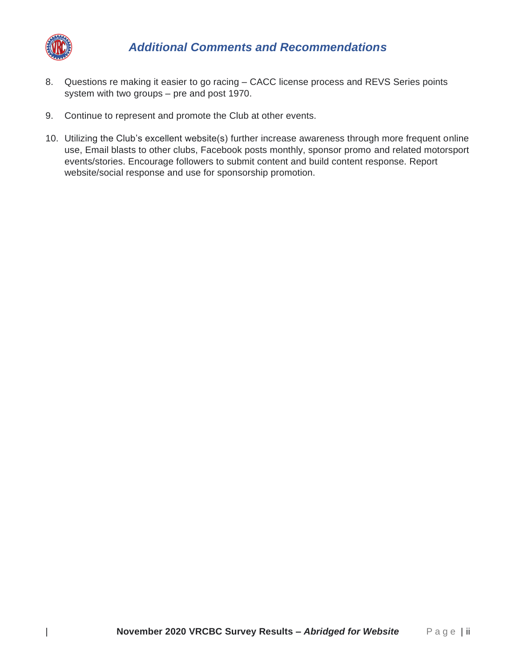

- 8. Questions re making it easier to go racing CACC license process and REVS Series points system with two groups – pre and post 1970.
- 9. Continue to represent and promote the Club at other events.
- 10. Utilizing the Club's excellent website(s) further increase awareness through more frequent online use, Email blasts to other clubs, Facebook posts monthly, sponsor promo and related motorsport events/stories. Encourage followers to submit content and build content response. Report website/social response and use for sponsorship promotion.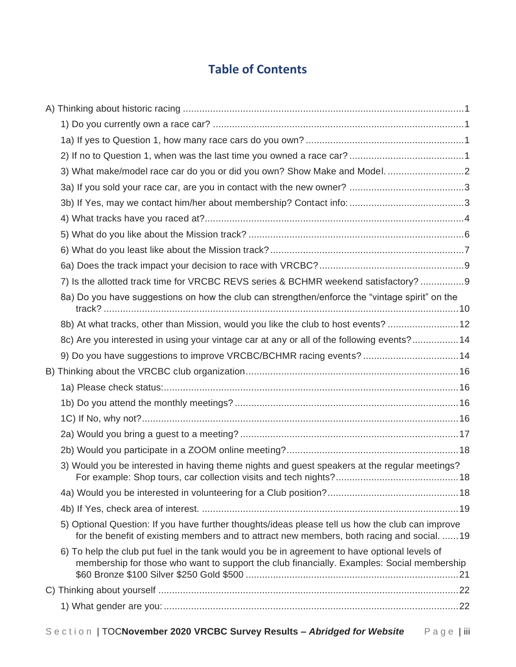# **Table of Contents**

| 7) Is the allotted track time for VRCBC REVS series & BCHMR weekend satisfactory? 9                                                                                                             |  |
|-------------------------------------------------------------------------------------------------------------------------------------------------------------------------------------------------|--|
| 8a) Do you have suggestions on how the club can strengthen/enforce the "vintage spirit" on the                                                                                                  |  |
| 8b) At what tracks, other than Mission, would you like the club to host events? 12                                                                                                              |  |
| 8c) Are you interested in using your vintage car at any or all of the following events?14                                                                                                       |  |
| 9) Do you have suggestions to improve VRCBC/BCHMR racing events? 14                                                                                                                             |  |
|                                                                                                                                                                                                 |  |
|                                                                                                                                                                                                 |  |
|                                                                                                                                                                                                 |  |
|                                                                                                                                                                                                 |  |
|                                                                                                                                                                                                 |  |
|                                                                                                                                                                                                 |  |
| 3) Would you be interested in having theme nights and quest speakers at the regular meetings?                                                                                                   |  |
|                                                                                                                                                                                                 |  |
|                                                                                                                                                                                                 |  |
| 5) Optional Question: If you have further thoughts/ideas please tell us how the club can improve<br>for the benefit of existing members and to attract new members, both racing and social.  19 |  |
| 6) To help the club put fuel in the tank would you be in agreement to have optional levels of<br>membership for those who want to support the club financially. Examples: Social membership     |  |
|                                                                                                                                                                                                 |  |
|                                                                                                                                                                                                 |  |
|                                                                                                                                                                                                 |  |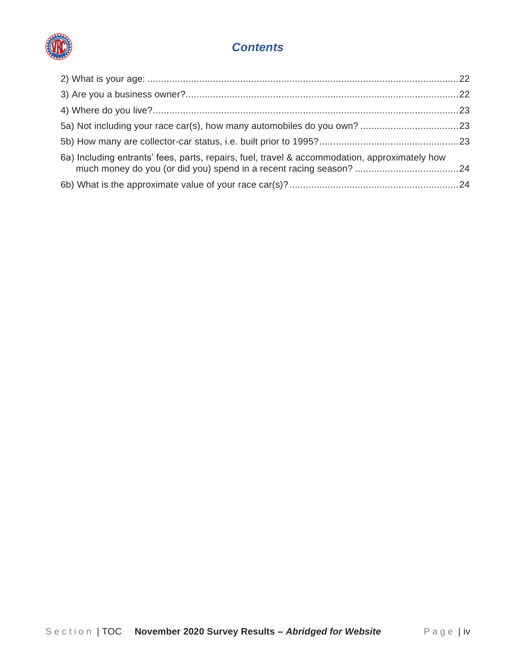

#### *Contents*

| 6a) Including entrants' fees, parts, repairs, fuel, travel & accommodation, approximately how |  |
|-----------------------------------------------------------------------------------------------|--|
|                                                                                               |  |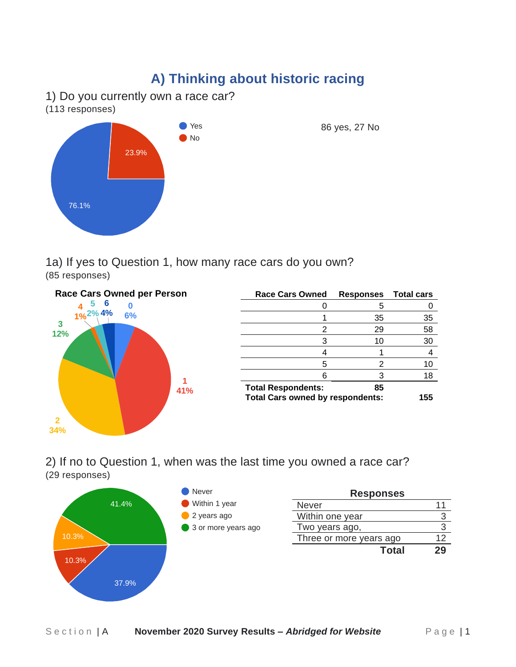# **A) Thinking about historic racing**

<span id="page-6-1"></span><span id="page-6-0"></span>1) Do you currently own a race car?

(113 responses)



86 yes, 27 No

<span id="page-6-2"></span>1a) If yes to Question 1, how many race cars do you own? (85 responses)



| <b>Race Cars Owned</b>                  | <b>Responses</b> Total cars |    |
|-----------------------------------------|-----------------------------|----|
|                                         | 5                           |    |
|                                         | 35                          | 35 |
| 2                                       | 29                          | 58 |
| 3                                       | 10                          | 30 |
| 4                                       |                             |    |
| 5                                       | 2                           | 10 |
| 6                                       | વ                           | 18 |
| <b>Total Respondents:</b>               | 85                          |    |
| <b>Total Cars owned by respondents:</b> | 155                         |    |

<span id="page-6-3"></span>2) If no to Question 1, when was the last time you owned a race car? (29 responses)

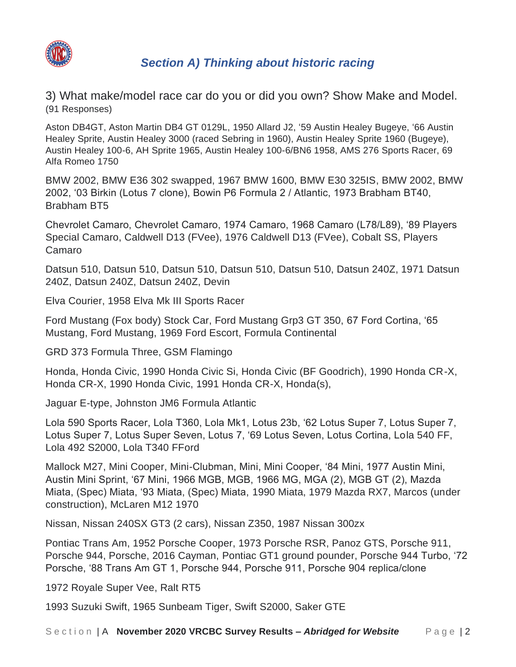

<span id="page-7-0"></span>3) What make/model race car do you or did you own? Show Make and Model. (91 Responses)

Aston DB4GT, Aston Martin DB4 GT 0129L, 1950 Allard J2, '59 Austin Healey Bugeye, '66 Austin Healey Sprite, Austin Healey 3000 (raced Sebring in 1960), Austin Healey Sprite 1960 (Bugeye), Austin Healey 100-6, AH Sprite 1965, Austin Healey 100-6/BN6 1958, AMS 276 Sports Racer, 69 Alfa Romeo 1750

BMW 2002, BMW E36 302 swapped, 1967 BMW 1600, BMW E30 325IS, BMW 2002, BMW 2002, '03 Birkin (Lotus 7 clone), Bowin P6 Formula 2 / Atlantic, 1973 Brabham BT40, Brabham BT5

Chevrolet Camaro, Chevrolet Camaro, 1974 Camaro, 1968 Camaro (L78/L89), '89 Players Special Camaro, Caldwell D13 (FVee), 1976 Caldwell D13 (FVee), Cobalt SS, Players Camaro

Datsun 510, Datsun 510, Datsun 510, Datsun 510, Datsun 510, Datsun 240Z, 1971 Datsun 240Z, Datsun 240Z, Datsun 240Z, Devin

Elva Courier, 1958 Elva Mk III Sports Racer

Ford Mustang (Fox body) Stock Car, Ford Mustang Grp3 GT 350, 67 Ford Cortina, '65 Mustang, Ford Mustang, 1969 Ford Escort, Formula Continental

GRD 373 Formula Three, GSM Flamingo

Honda, Honda Civic, 1990 Honda Civic Si, Honda Civic (BF Goodrich), 1990 Honda CR-X, Honda CR-X, 1990 Honda Civic, 1991 Honda CR-X, Honda(s),

Jaguar E-type, Johnston JM6 Formula Atlantic

Lola 590 Sports Racer, Lola T360, Lola Mk1, Lotus 23b, '62 Lotus Super 7, Lotus Super 7, Lotus Super 7, Lotus Super Seven, Lotus 7, '69 Lotus Seven, Lotus Cortina, Lola 540 FF, Lola 492 S2000, Lola T340 FFord

Mallock M27, Mini Cooper, Mini-Clubman, Mini, Mini Cooper, '84 Mini, 1977 Austin Mini, Austin Mini Sprint, '67 Mini, 1966 MGB, MGB, 1966 MG, MGA (2), MGB GT (2), Mazda Miata, (Spec) Miata, '93 Miata, (Spec) Miata, 1990 Miata, 1979 Mazda RX7, Marcos (under construction), McLaren M12 1970

Nissan, Nissan 240SX GT3 (2 cars), Nissan Z350, 1987 Nissan 300zx

Pontiac Trans Am, 1952 Porsche Cooper, 1973 Porsche RSR, Panoz GTS, Porsche 911, Porsche 944, Porsche, 2016 Cayman, Pontiac GT1 ground pounder, Porsche 944 Turbo, '72 Porsche, '88 Trans Am GT 1, Porsche 944, Porsche 911, Porsche 904 replica/clone

1972 Royale Super Vee, Ralt RT5

1993 Suzuki Swift, 1965 Sunbeam Tiger, Swift S2000, Saker GTE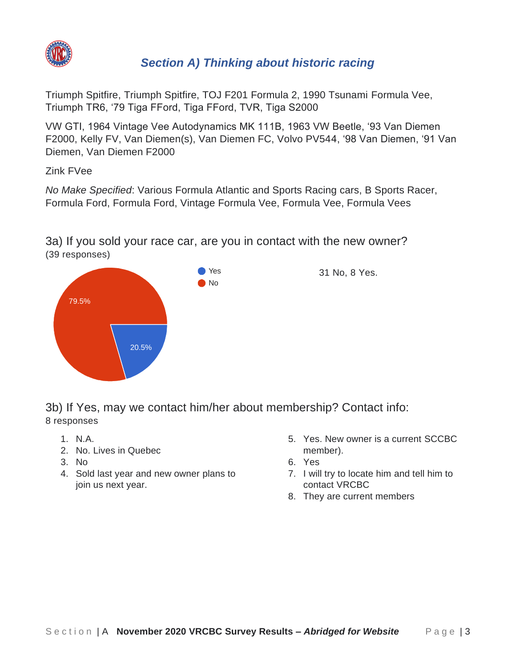

Triumph Spitfire, Triumph Spitfire, TOJ F201 Formula 2, 1990 Tsunami Formula Vee, Triumph TR6, '79 Tiga FFord, Tiga FFord, TVR, Tiga S2000

VW GTI, 1964 Vintage Vee Autodynamics MK 111B, 1963 VW Beetle, '93 Van Diemen F2000, Kelly FV, Van Diemen(s), Van Diemen FC, Volvo PV544, '98 Van Diemen, '91 Van Diemen, Van Diemen F2000

Zink FVee

*No Make Specified*: Various Formula Atlantic and Sports Racing cars, B Sports Racer, Formula Ford, Formula Ford, Vintage Formula Vee, Formula Vee, Formula Vees

<span id="page-8-0"></span>3a) If you sold your race car, are you in contact with the new owner? (39 responses)



<span id="page-8-1"></span>3b) If Yes, may we contact him/her about membership? Contact info: 8 responses

- 1. N.A.
- 2. No. Lives in Quebec
- 3. No
- <span id="page-8-2"></span>4. Sold last year and new owner plans to join us next year.
- 5. Yes. New owner is a current SCCBC member).
- 6. Yes
- 7. I will try to locate him and tell him to contact VRCBC
- 8. They are current members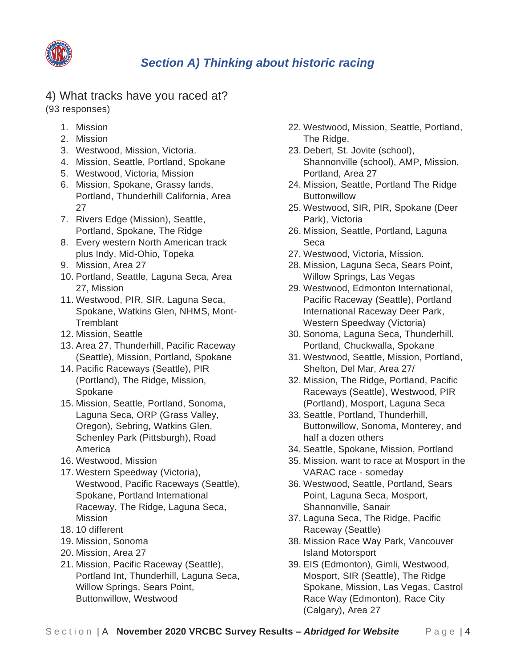

## 4) What tracks have you raced at?

(93 responses)

- 1. Mission
- 2. Mission
- 3. Westwood, Mission, Victoria.
- 4. Mission, Seattle, Portland, Spokane
- 5. Westwood, Victoria, Mission
- 6. Mission, Spokane, Grassy lands, Portland, Thunderhill California, Area 27
- 7. Rivers Edge (Mission), Seattle, Portland, Spokane, The Ridge
- 8. Every western North American track plus Indy, Mid-Ohio, Topeka
- 9. Mission, Area 27
- 10. Portland, Seattle, Laguna Seca, Area 27, Mission
- 11. Westwood, PIR, SIR, Laguna Seca, Spokane, Watkins Glen, NHMS, Mont-**Tremblant**
- 12. Mission, Seattle
- 13. Area 27, Thunderhill, Pacific Raceway (Seattle), Mission, Portland, Spokane
- 14. Pacific Raceways (Seattle), PIR (Portland), The Ridge, Mission, Spokane
- 15. Mission, Seattle, Portland, Sonoma, Laguna Seca, ORP (Grass Valley, Oregon), Sebring, Watkins Glen, Schenley Park (Pittsburgh), Road America
- 16. Westwood, Mission
- 17. Western Speedway (Victoria), Westwood, Pacific Raceways (Seattle), Spokane, Portland International Raceway, The Ridge, Laguna Seca, Mission
- 18. 10 different
- 19. Mission, Sonoma
- 20. Mission, Area 27
- 21. Mission, Pacific Raceway (Seattle), Portland Int, Thunderhill, Laguna Seca, Willow Springs, Sears Point, Buttonwillow, Westwood
- 22. Westwood, Mission, Seattle, Portland, The Ridge.
- 23. Debert, St. Jovite (school), Shannonville (school), AMP, Mission, Portland, Area 27
- 24. Mission, Seattle, Portland The Ridge **Buttonwillow**
- 25. Westwood, SIR, PIR, Spokane (Deer Park), Victoria
- 26. Mission, Seattle, Portland, Laguna Seca
- 27. Westwood, Victoria, Mission.
- 28. Mission, Laguna Seca, Sears Point, Willow Springs, Las Vegas
- 29. Westwood, Edmonton International, Pacific Raceway (Seattle), Portland International Raceway Deer Park, Western Speedway (Victoria)
- 30. Sonoma, Laguna Seca, Thunderhill. Portland, Chuckwalla, Spokane
- 31. Westwood, Seattle, Mission, Portland, Shelton, Del Mar, Area 27/
- 32. Mission, The Ridge, Portland, Pacific Raceways (Seattle), Westwood, PIR (Portland), Mosport, Laguna Seca
- 33. Seattle, Portland, Thunderhill, Buttonwillow, Sonoma, Monterey, and half a dozen others
- 34. Seattle, Spokane, Mission, Portland
- 35. Mission. want to race at Mosport in the VARAC race - someday
- 36. Westwood, Seattle, Portland, Sears Point, Laguna Seca, Mosport, Shannonville, Sanair
- 37. Laguna Seca, The Ridge, Pacific Raceway (Seattle)
- 38. Mission Race Way Park, Vancouver Island Motorsport
- 39. EIS (Edmonton), Gimli, Westwood, Mosport, SIR (Seattle), The Ridge Spokane, Mission, Las Vegas, Castrol Race Way (Edmonton), Race City (Calgary), Area 27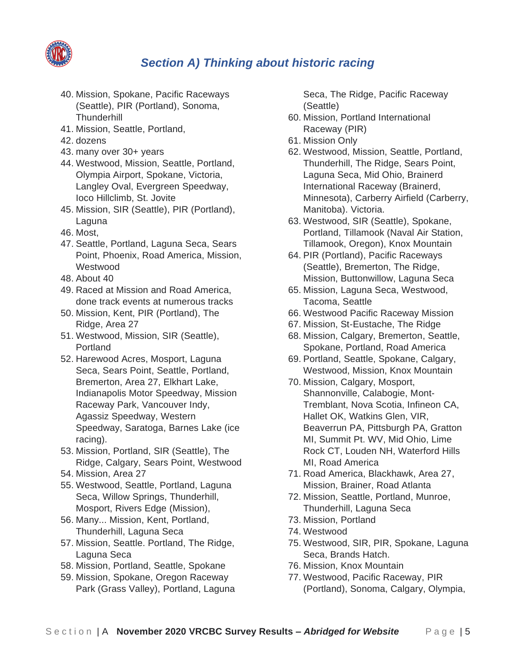

- 40. Mission, Spokane, Pacific Raceways (Seattle), PIR (Portland), Sonoma, **Thunderhill**
- 41. Mission, Seattle, Portland,
- 42. dozens
- 43. many over 30+ years
- 44. Westwood, Mission, Seattle, Portland, Olympia Airport, Spokane, Victoria, Langley Oval, Evergreen Speedway, Ioco Hillclimb, St. Jovite
- 45. Mission, SIR (Seattle), PIR (Portland), Laguna
- 46. Most,
- 47. Seattle, Portland, Laguna Seca, Sears Point, Phoenix, Road America, Mission, Westwood
- 48. About 40
- 49. Raced at Mission and Road America, done track events at numerous tracks
- 50. Mission, Kent, PIR (Portland), The Ridge, Area 27
- 51. Westwood, Mission, SIR (Seattle), Portland
- 52. Harewood Acres, Mosport, Laguna Seca, Sears Point, Seattle, Portland, Bremerton, Area 27, Elkhart Lake, Indianapolis Motor Speedway, Mission Raceway Park, Vancouver Indy, Agassiz Speedway, Western Speedway, Saratoga, Barnes Lake (ice racing).
- 53. Mission, Portland, SIR (Seattle), The Ridge, Calgary, Sears Point, Westwood
- 54. Mission, Area 27
- 55. Westwood, Seattle, Portland, Laguna Seca, Willow Springs, Thunderhill, Mosport, Rivers Edge (Mission),
- 56. Many... Mission, Kent, Portland, Thunderhill, Laguna Seca
- 57. Mission, Seattle. Portland, The Ridge, Laguna Seca
- 58. Mission, Portland, Seattle, Spokane
- 59. Mission, Spokane, Oregon Raceway Park (Grass Valley), Portland, Laguna

Seca, The Ridge, Pacific Raceway (Seattle)

- 60. Mission, Portland International Raceway (PIR)
- 61. Mission Only
- 62. Westwood, Mission, Seattle, Portland, Thunderhill, The Ridge, Sears Point, Laguna Seca, Mid Ohio, Brainerd International Raceway (Brainerd, Minnesota), Carberry Airfield (Carberry, Manitoba). Victoria.
- 63. Westwood, SIR (Seattle), Spokane, Portland, Tillamook (Naval Air Station, Tillamook, Oregon), Knox Mountain
- 64. PIR (Portland), Pacific Raceways (Seattle), Bremerton, The Ridge, Mission, Buttonwillow, Laguna Seca
- 65. Mission, Laguna Seca, Westwood, Tacoma, Seattle
- 66. Westwood Pacific Raceway Mission
- 67. Mission, St-Eustache, The Ridge
- 68. Mission, Calgary, Bremerton, Seattle, Spokane, Portland, Road America
- 69. Portland, Seattle, Spokane, Calgary, Westwood, Mission, Knox Mountain
- 70. Mission, Calgary, Mosport, Shannonville, Calabogie, Mont-Tremblant, Nova Scotia, Infineon CA, Hallet OK, Watkins Glen, VIR, Beaverrun PA, Pittsburgh PA, Gratton MI, Summit Pt. WV, Mid Ohio, Lime Rock CT, Louden NH, Waterford Hills MI, Road America
- 71. Road America, Blackhawk, Area 27, Mission, Brainer, Road Atlanta
- 72. Mission, Seattle, Portland, Munroe, Thunderhill, Laguna Seca
- 73. Mission, Portland
- 74. Westwood
- 75. Westwood, SIR, PIR, Spokane, Laguna Seca, Brands Hatch.
- 76. Mission, Knox Mountain
- 77. Westwood, Pacific Raceway, PIR (Portland), Sonoma, Calgary, Olympia,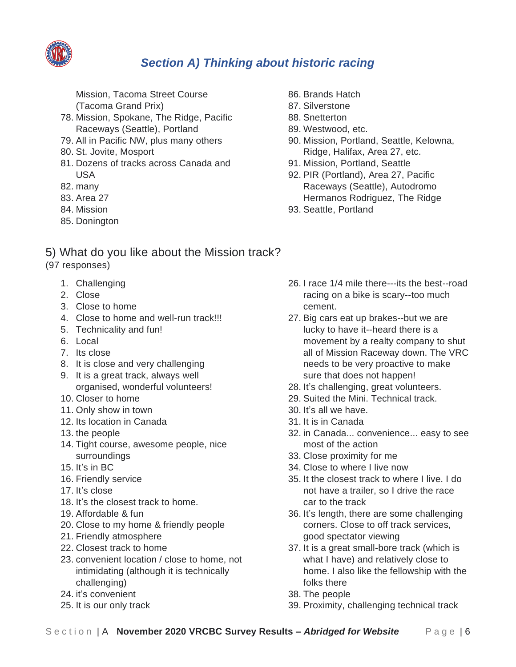

Mission, Tacoma Street Course (Tacoma Grand Prix)

- 78. Mission, Spokane, The Ridge, Pacific Raceways (Seattle), Portland
- 79. All in Pacific NW, plus many others
- 80. St. Jovite, Mosport
- 81. Dozens of tracks across Canada and USA
- 82. many
- 83. Area 27
- 84. Mission
- 85. Donington
- 86. Brands Hatch
- 87. Silverstone
- 88. Snetterton
- 89. Westwood, etc.
- 90. Mission, Portland, Seattle, Kelowna, Ridge, Halifax, Area 27, etc.
- 91. Mission, Portland, Seattle
- 92. PIR (Portland), Area 27, Pacific Raceways (Seattle), Autodromo Hermanos Rodriguez, The Ridge
- 93. Seattle, Portland

## <span id="page-11-0"></span>5) What do you like about the Mission track?

- (97 responses)
	- 1. Challenging
	- 2. Close
	- 3. Close to home
	- 4. Close to home and well-run track!!!
	- 5. Technicality and fun!
	- 6. Local
	- 7. Its close
	- 8. It is close and very challenging
	- 9. It is a great track, always well organised, wonderful volunteers!
	- 10. Closer to home
	- 11. Only show in town
	- 12. Its location in Canada
	- 13. the people
	- 14. Tight course, awesome people, nice surroundings
	- 15. It's in BC
	- 16. Friendly service
	- 17. It's close
	- 18. It's the closest track to home.
	- 19. Affordable & fun
	- 20. Close to my home & friendly people
	- 21. Friendly atmosphere
	- 22. Closest track to home
	- 23. convenient location / close to home, not intimidating (although it is technically challenging)
	- 24. it's convenient
	- 25. It is our only track
- 26. I race 1/4 mile there---its the best--road racing on a bike is scary--too much cement.
- 27. Big cars eat up brakes--but we are lucky to have it--heard there is a movement by a realty company to shut all of Mission Raceway down. The VRC needs to be very proactive to make sure that does not happen!
- 28. It's challenging, great volunteers.
- 29. Suited the Mini. Technical track.
- 30. It's all we have.
- 31. It is in Canada
- 32. in Canada... convenience... easy to see most of the action
- 33. Close proximity for me
- 34. Close to where I live now
- 35. It the closest track to where I live. I do not have a trailer, so I drive the race car to the track
- 36. It's length, there are some challenging corners. Close to off track services, good spectator viewing
- 37. It is a great small-bore track (which is what I have) and relatively close to home. I also like the fellowship with the folks there
- 38. The people
- 39. Proximity, challenging technical track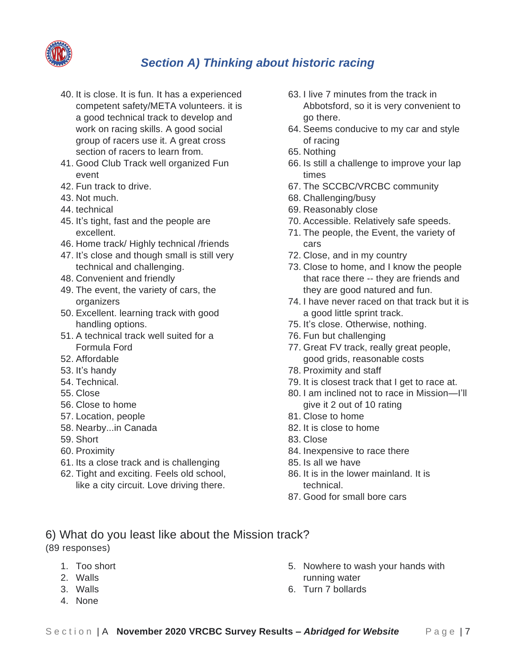

- 40. It is close. It is fun. It has a experienced competent safety/META volunteers. it is a good technical track to develop and work on racing skills. A good social group of racers use it. A great cross section of racers to learn from.
- 41. Good Club Track well organized Fun event
- 42. Fun track to drive.
- 43. Not much.
- 44. technical
- 45. It's tight, fast and the people are excellent.
- 46. Home track/ Highly technical /friends
- 47. It's close and though small is still very technical and challenging.
- 48. Convenient and friendly
- 49. The event, the variety of cars, the organizers
- 50. Excellent. learning track with good handling options.
- 51. A technical track well suited for a Formula Ford
- 52. Affordable
- 53. It's handy
- 54. Technical.
- 55. Close
- 56. Close to home
- 57. Location, people
- 58. Nearby...in Canada
- 59. Short
- 60. Proximity
- 61. Its a close track and is challenging
- 62. Tight and exciting. Feels old school, like a city circuit. Love driving there.
- 63. I live 7 minutes from the track in Abbotsford, so it is very convenient to go there.
- 64. Seems conducive to my car and style of racing
- 65. Nothing
- 66. Is still a challenge to improve your lap times
- 67. The SCCBC/VRCBC community
- 68. Challenging/busy
- 69. Reasonably close
- 70. Accessible. Relatively safe speeds.
- 71. The people, the Event, the variety of cars
- 72. Close, and in my country
- 73. Close to home, and I know the people that race there -- they are friends and they are good natured and fun.
- 74. I have never raced on that track but it is a good little sprint track.
- 75. It's close. Otherwise, nothing.
- 76. Fun but challenging
- 77. Great FV track, really great people, good grids, reasonable costs
- 78. Proximity and staff
- 79. It is closest track that I get to race at.
- 80. I am inclined not to race in Mission—I'll give it 2 out of 10 rating
- 81. Close to home
- 82. It is close to home
- 83. Close
- 84. Inexpensive to race there
- 85. Is all we have
- 86. It is in the lower mainland. It is technical.
- 87. Good for small bore cars
- <span id="page-12-0"></span>6) What do you least like about the Mission track? (89 responses)
	- 1. Too short
	- 2. Walls
	- 3. Walls
	- 4. None
- 5. Nowhere to wash your hands with running water
- 6. Turn 7 bollards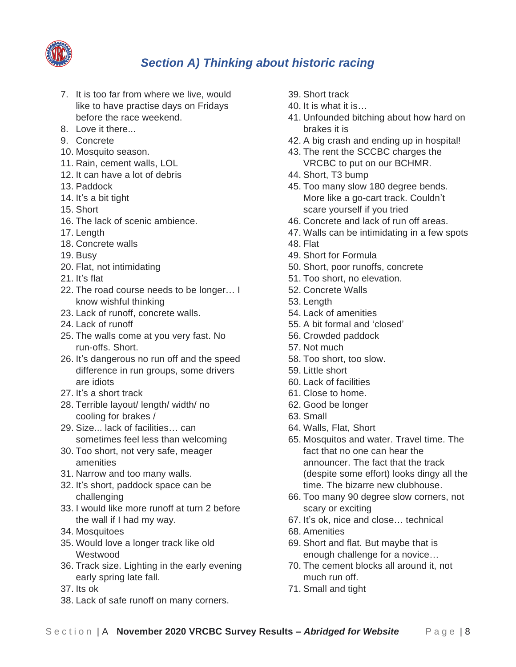

- 7. It is too far from where we live, would like to have practise days on Fridays before the race weekend.
- 8. Love it there...
- 9. Concrete
- 10. Mosquito season.
- 11. Rain, cement walls, LOL
- 12. It can have a lot of debris
- 13. Paddock
- 14. It's a bit tight
- 15. Short
- 16. The lack of scenic ambience.
- 17. Length
- 18. Concrete walls
- 19. Busy
- 20. Flat, not intimidating
- 21. It's flat
- 22. The road course needs to be longer… I know wishful thinking
- 23. Lack of runoff, concrete walls.
- 24. Lack of runoff
- 25. The walls come at you very fast. No run-offs. Short.
- 26. It's dangerous no run off and the speed difference in run groups, some drivers are idiots
- 27. It's a short track
- 28. Terrible layout/ length/ width/ no cooling for brakes /
- 29. Size... lack of facilities… can sometimes feel less than welcoming
- 30. Too short, not very safe, meager amenities
- 31. Narrow and too many walls.
- 32. It's short, paddock space can be challenging
- 33. I would like more runoff at turn 2 before the wall if I had my way.
- 34. Mosquitoes
- 35. Would love a longer track like old **Westwood**
- 36. Track size. Lighting in the early evening early spring late fall.
- 37. Its ok
- 38. Lack of safe runoff on many corners.
- 39. Short track
- 40. It is what it is…
- 41. Unfounded bitching about how hard on brakes it is
- 42. A big crash and ending up in hospital!
- 43. The rent the SCCBC charges the VRCBC to put on our BCHMR.
- 44. Short, T3 bump
- 45. Too many slow 180 degree bends. More like a go-cart track. Couldn't scare yourself if you tried
- 46. Concrete and lack of run off areas.
- 47. Walls can be intimidating in a few spots
- 48. Flat
- 49. Short for Formula
- 50. Short, poor runoffs, concrete
- 51. Too short, no elevation.
- 52. Concrete Walls
- 53. Length
- 54. Lack of amenities
- 55. A bit formal and 'closed'
- 56. Crowded paddock
- 57. Not much
- 58. Too short, too slow.
- 59. Little short
- 60. Lack of facilities
- 61. Close to home.
- 62. Good be longer
- 63. Small
- 64. Walls, Flat, Short
- 65. Mosquitos and water. Travel time. The fact that no one can hear the announcer. The fact that the track (despite some effort) looks dingy all the time. The bizarre new clubhouse.
- 66. Too many 90 degree slow corners, not scary or exciting
- 67. It's ok, nice and close… technical
- 68. Amenities
- 69. Short and flat. But maybe that is enough challenge for a novice…
- 70. The cement blocks all around it, not much run off.
- 71. Small and tight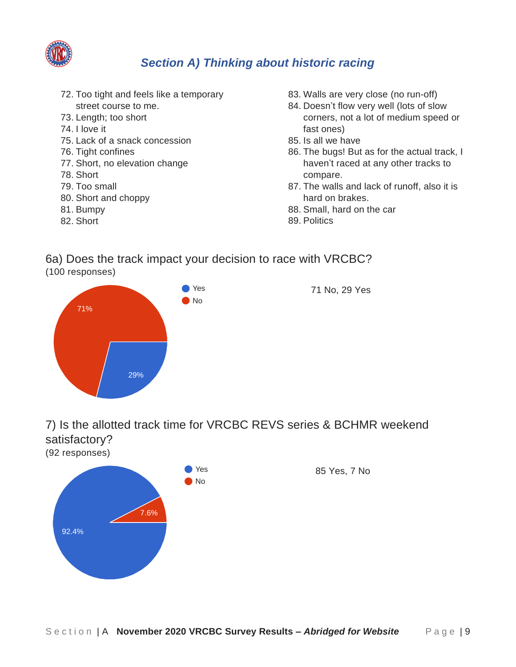

- 72. Too tight and feels like a temporary street course to me.
- 73. Length; too short
- 74. I love it
- 75. Lack of a snack concession
- 76. Tight confines
- 77. Short, no elevation change
- 78. Short
- 79. Too small
- 80. Short and choppy
- 81. Bumpy
- 82. Short
- 83. Walls are very close (no run-off)
- 84. Doesn't flow very well (lots of slow corners, not a lot of medium speed or fast ones)
- 85. Is all we have
- 86. The bugs! But as for the actual track, I haven't raced at any other tracks to compare.
- 87. The walls and lack of runoff, also it is hard on brakes.
- 88. Small, hard on the car
- 89. Politics

#### <span id="page-14-0"></span>6a) Does the track impact your decision to race with VRCBC? (100 responses)



<span id="page-14-1"></span>7) Is the allotted track time for VRCBC REVS series & BCHMR weekend satisfactory?

(92 responses)

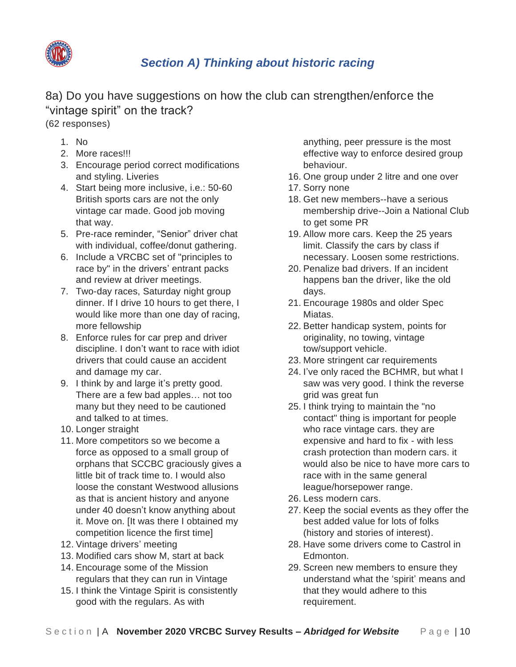

<span id="page-15-0"></span>8a) Do you have suggestions on how the club can strengthen/enforce the "vintage spirit" on the track?

(62 responses)

- 1. No
- 2. More races!!!
- 3. Encourage period correct modifications and styling. Liveries
- 4. Start being more inclusive, i.e.: 50-60 British sports cars are not the only vintage car made. Good job moving that way.
- 5. Pre-race reminder, "Senior" driver chat with individual, coffee/donut gathering.
- 6. Include a VRCBC set of "principles to race by" in the drivers' entrant packs and review at driver meetings.
- 7. Two-day races, Saturday night group dinner. If I drive 10 hours to get there, I would like more than one day of racing, more fellowship
- 8. Enforce rules for car prep and driver discipline. I don't want to race with idiot drivers that could cause an accident and damage my car.
- 9. I think by and large it's pretty good. There are a few bad apples… not too many but they need to be cautioned and talked to at times.
- 10. Longer straight
- 11. More competitors so we become a force as opposed to a small group of orphans that SCCBC graciously gives a little bit of track time to. I would also loose the constant Westwood allusions as that is ancient history and anyone under 40 doesn't know anything about it. Move on. [It was there I obtained my competition licence the first time]
- 12. Vintage drivers' meeting
- 13. Modified cars show M, start at back
- 14. Encourage some of the Mission regulars that they can run in Vintage
- 15. I think the Vintage Spirit is consistently good with the regulars. As with

anything, peer pressure is the most effective way to enforce desired group behaviour.

- 16. One group under 2 litre and one over
- 17. Sorry none
- 18. Get new members--have a serious membership drive--Join a National Club to get some PR
- 19. Allow more cars. Keep the 25 years limit. Classify the cars by class if necessary. Loosen some restrictions.
- 20. Penalize bad drivers. If an incident happens ban the driver, like the old days.
- 21. Encourage 1980s and older Spec Miatas.
- 22. Better handicap system, points for originality, no towing, vintage tow/support vehicle.
- 23. More stringent car requirements
- 24. I've only raced the BCHMR, but what I saw was very good. I think the reverse grid was great fun
- 25. I think trying to maintain the "no contact" thing is important for people who race vintage cars. they are expensive and hard to fix - with less crash protection than modern cars. it would also be nice to have more cars to race with in the same general league/horsepower range.
- 26. Less modern cars.
- 27. Keep the social events as they offer the best added value for lots of folks (history and stories of interest).
- 28. Have some drivers come to Castrol in Edmonton.
- 29. Screen new members to ensure they understand what the 'spirit' means and that they would adhere to this requirement.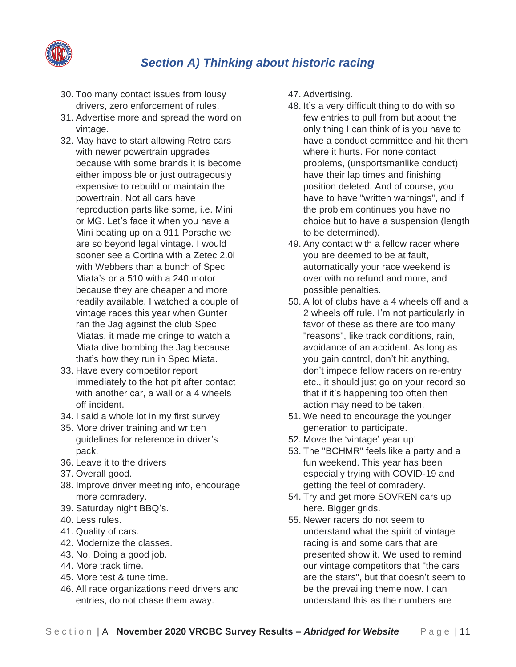

- 30. Too many contact issues from lousy drivers, zero enforcement of rules.
- 31. Advertise more and spread the word on vintage.
- 32. May have to start allowing Retro cars with newer powertrain upgrades because with some brands it is become either impossible or just outrageously expensive to rebuild or maintain the powertrain. Not all cars have reproduction parts like some, i.e. Mini or MG. Let's face it when you have a Mini beating up on a 911 Porsche we are so beyond legal vintage. I would sooner see a Cortina with a Zetec 2.0l with Webbers than a bunch of Spec Miata's or a 510 with a 240 motor because they are cheaper and more readily available. I watched a couple of vintage races this year when Gunter ran the Jag against the club Spec Miatas. it made me cringe to watch a Miata dive bombing the Jag because that's how they run in Spec Miata.
- 33. Have every competitor report immediately to the hot pit after contact with another car, a wall or a 4 wheels off incident.
- 34. I said a whole lot in my first survey
- 35. More driver training and written guidelines for reference in driver's pack.
- 36. Leave it to the drivers
- 37. Overall good.
- 38. Improve driver meeting info, encourage more comradery.
- 39. Saturday night BBQ's.
- 40. Less rules.
- 41. Quality of cars.
- 42. Modernize the classes.
- 43. No. Doing a good job.
- 44. More track time.
- 45. More test & tune time.
- 46. All race organizations need drivers and entries, do not chase them away.
- 47. Advertising.
- 48. It's a very difficult thing to do with so few entries to pull from but about the only thing I can think of is you have to have a conduct committee and hit them where it hurts. For none contact problems, (unsportsmanlike conduct) have their lap times and finishing position deleted. And of course, you have to have "written warnings", and if the problem continues you have no choice but to have a suspension (length to be determined).
- 49. Any contact with a fellow racer where you are deemed to be at fault, automatically your race weekend is over with no refund and more, and possible penalties.
- 50. A lot of clubs have a 4 wheels off and a 2 wheels off rule. I'm not particularly in favor of these as there are too many "reasons", like track conditions, rain, avoidance of an accident. As long as you gain control, don't hit anything, don't impede fellow racers on re-entry etc., it should just go on your record so that if it's happening too often then action may need to be taken.
- 51. We need to encourage the younger generation to participate.
- 52. Move the 'vintage' year up!
- 53. The "BCHMR" feels like a party and a fun weekend. This year has been especially trying with COVID-19 and getting the feel of comradery.
- 54. Try and get more SOVREN cars up here. Bigger grids.
- 55. Newer racers do not seem to understand what the spirit of vintage racing is and some cars that are presented show it. We used to remind our vintage competitors that "the cars are the stars", but that doesn't seem to be the prevailing theme now. I can understand this as the numbers are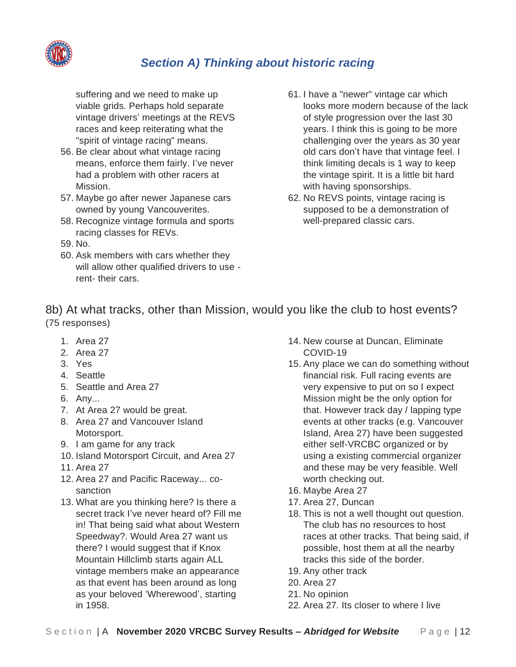

suffering and we need to make up viable grids. Perhaps hold separate vintage drivers' meetings at the REVS races and keep reiterating what the "spirit of vintage racing" means.

- 56. Be clear about what vintage racing means, enforce them fairly. I've never had a problem with other racers at Mission.
- 57. Maybe go after newer Japanese cars owned by young Vancouverites.
- 58. Recognize vintage formula and sports racing classes for REVs.
- 59. No.
- 60. Ask members with cars whether they will allow other qualified drivers to use rent- their cars.
- 61. I have a "newer" vintage car which looks more modern because of the lack of style progression over the last 30 years. I think this is going to be more challenging over the years as 30 year old cars don't have that vintage feel. I think limiting decals is 1 way to keep the vintage spirit. It is a little bit hard with having sponsorships.
- 62. No REVS points, vintage racing is supposed to be a demonstration of well-prepared classic cars.

<span id="page-17-0"></span>8b) At what tracks, other than Mission, would you like the club to host events? (75 responses)

- 1. Area 27
- 2. Area 27
- 3. Yes
- 4. Seattle
- 5. Seattle and Area 27
- 6. Any...
- 7. At Area 27 would be great.
- 8. Area 27 and Vancouver Island Motorsport.
- 9. I am game for any track
- 10. Island Motorsport Circuit, and Area 27
- 11. Area 27
- 12. Area 27 and Pacific Raceway... cosanction
- 13. What are you thinking here? Is there a secret track I've never heard of? Fill me in! That being said what about Western Speedway?. Would Area 27 want us there? I would suggest that if Knox Mountain Hillclimb starts again ALL vintage members make an appearance as that event has been around as long as your beloved 'Wherewood', starting in 1958.
- 14. New course at Duncan, Eliminate COVID-19
- 15. Any place we can do something without financial risk. Full racing events are very expensive to put on so I expect Mission might be the only option for that. However track day / lapping type events at other tracks (e.g. Vancouver Island, Area 27) have been suggested either self-VRCBC organized or by using a existing commercial organizer and these may be very feasible. Well worth checking out.
- 16. Maybe Area 27
- 17. Area 27, Duncan
- 18. This is not a well thought out question. The club has no resources to host races at other tracks. That being said, if possible, host them at all the nearby tracks this side of the border.
- 19. Any other track
- 20. Area 27
- 21. No opinion
- 22. Area 27. Its closer to where I live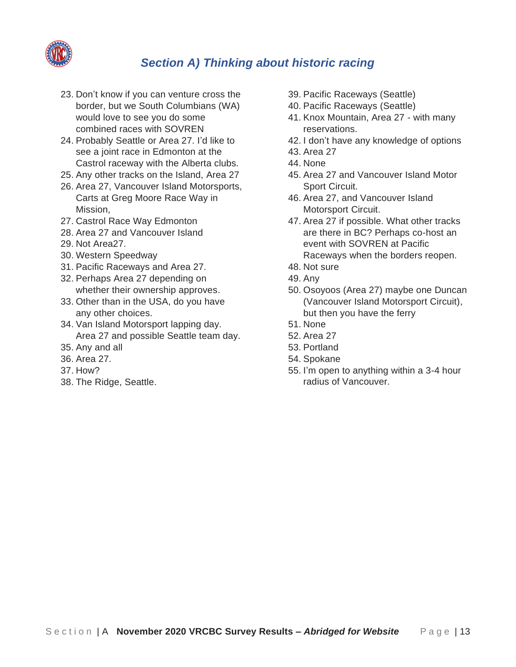

- 23. Don't know if you can venture cross the border, but we South Columbians (WA) would love to see you do some combined races with SOVREN
- 24. Probably Seattle or Area 27. I'd like to see a joint race in Edmonton at the Castrol raceway with the Alberta clubs.
- 25. Any other tracks on the Island, Area 27
- 26. Area 27, Vancouver Island Motorsports, Carts at Greg Moore Race Way in Mission,
- 27. Castrol Race Way Edmonton
- 28. Area 27 and Vancouver Island
- 29. Not Area27.
- 30. Western Speedway
- 31. Pacific Raceways and Area 27.
- 32. Perhaps Area 27 depending on whether their ownership approves.
- 33. Other than in the USA, do you have any other choices.
- 34. Van Island Motorsport lapping day. Area 27 and possible Seattle team day.
- 35. Any and all
- 36. Area 27.
- 37. How?
- 38. The Ridge, Seattle.
- 39. Pacific Raceways (Seattle)
- 40. Pacific Raceways (Seattle)
- 41. Knox Mountain, Area 27 with many reservations.
- 42. I don't have any knowledge of options
- 43. Area 27
- 44. None
- 45. Area 27 and Vancouver Island Motor Sport Circuit.
- 46. Area 27, and Vancouver Island Motorsport Circuit.
- 47. Area 27 if possible. What other tracks are there in BC? Perhaps co-host an event with SOVREN at Pacific Raceways when the borders reopen.
- 48. Not sure
- 49. Any
- 50. Osoyoos (Area 27) maybe one Duncan (Vancouver Island Motorsport Circuit), but then you have the ferry
- 51. None
- 52. Area 27
- 53. Portland
- 54. Spokane
- 55. I'm open to anything within a 3-4 hour radius of Vancouver.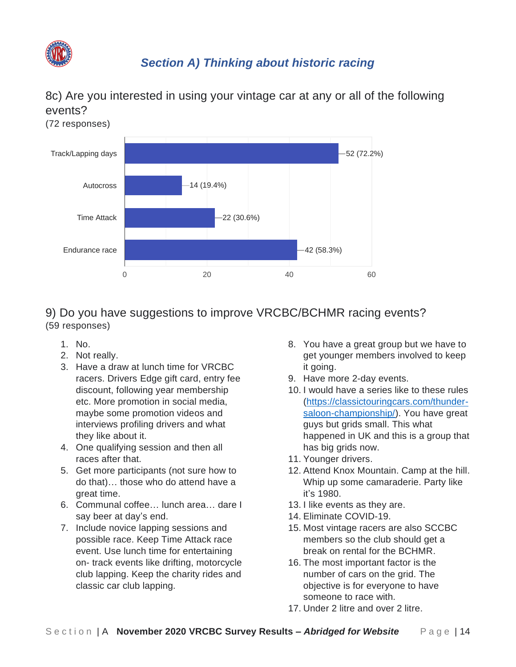

## <span id="page-19-0"></span>8c) Are you interested in using your vintage car at any or all of the following events?



#### <span id="page-19-1"></span>9) Do you have suggestions to improve VRCBC/BCHMR racing events? (59 responses)

- 1. No.
- 2. Not really.
- 3. Have a draw at lunch time for VRCBC racers. Drivers Edge gift card, entry fee discount, following year membership etc. More promotion in social media, maybe some promotion videos and interviews profiling drivers and what they like about it.
- 4. One qualifying session and then all races after that.
- 5. Get more participants (not sure how to do that)… those who do attend have a great time.
- 6. Communal coffee… lunch area… dare I say beer at day's end.
- 7. Include novice lapping sessions and possible race. Keep Time Attack race event. Use lunch time for entertaining on- track events like drifting, motorcycle club lapping. Keep the charity rides and classic car club lapping.
- 8. You have a great group but we have to get younger members involved to keep it going.
- 9. Have more 2-day events.
- 10. I would have a series like to these rules [\(https://classictouringcars.com/thunder](https://classictouringcars.com/thunder-saloon-championship/)[saloon-championship/\)](https://classictouringcars.com/thunder-saloon-championship/). You have great guys but grids small. This what happened in UK and this is a group that has big grids now.
- 11. Younger drivers.
- 12. Attend Knox Mountain. Camp at the hill. Whip up some camaraderie. Party like it's 1980.
- 13. I like events as they are.
- 14. Eliminate COVID-19.
- 15. Most vintage racers are also SCCBC members so the club should get a break on rental for the BCHMR.
- 16. The most important factor is the number of cars on the grid. The objective is for everyone to have someone to race with.
- 17. Under 2 litre and over 2 litre.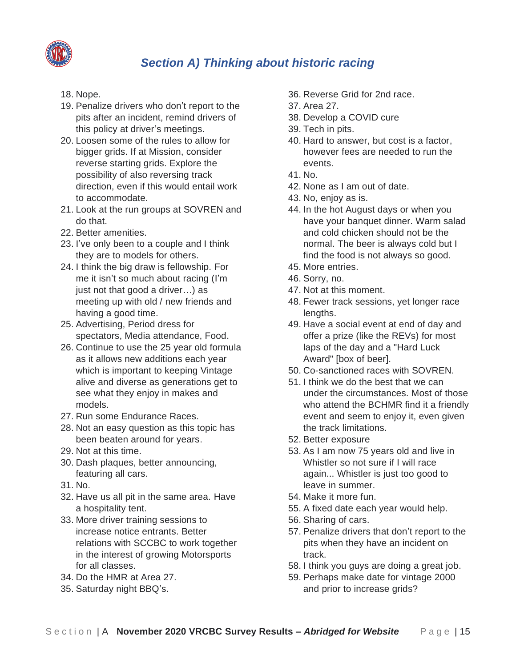

- 18. Nope.
- 19. Penalize drivers who don't report to the pits after an incident, remind drivers of this policy at driver's meetings.
- 20. Loosen some of the rules to allow for bigger grids. If at Mission, consider reverse starting grids. Explore the possibility of also reversing track direction, even if this would entail work to accommodate.
- 21. Look at the run groups at SOVREN and do that.
- 22. Better amenities.
- 23. I've only been to a couple and I think they are to models for others.
- 24. I think the big draw is fellowship. For me it isn't so much about racing (I'm just not that good a driver…) as meeting up with old / new friends and having a good time.
- 25. Advertising, Period dress for spectators, Media attendance, Food.
- 26. Continue to use the 25 year old formula as it allows new additions each year which is important to keeping Vintage alive and diverse as generations get to see what they enjoy in makes and models.
- 27. Run some Endurance Races.
- 28. Not an easy question as this topic has been beaten around for years.
- 29. Not at this time.
- 30. Dash plaques, better announcing, featuring all cars.
- 31. No.
- 32. Have us all pit in the same area. Have a hospitality tent.
- 33. More driver training sessions to increase notice entrants. Better relations with SCCBC to work together in the interest of growing Motorsports for all classes.
- 34. Do the HMR at Area 27.
- 35. Saturday night BBQ's.
- 36. Reverse Grid for 2nd race.
- 37. Area 27.
- 38. Develop a COVID cure
- 39. Tech in pits.
- 40. Hard to answer, but cost is a factor, however fees are needed to run the events.
- 41. No.
- 42. None as I am out of date.
- 43. No, enjoy as is.
- 44. In the hot August days or when you have your banquet dinner. Warm salad and cold chicken should not be the normal. The beer is always cold but I find the food is not always so good.
- 45. More entries.
- 46. Sorry, no.
- 47. Not at this moment.
- 48. Fewer track sessions, yet longer race lengths.
- 49. Have a social event at end of day and offer a prize (like the REVs) for most laps of the day and a "Hard Luck Award" [box of beer].
- 50. Co-sanctioned races with SOVREN.
- 51. I think we do the best that we can under the circumstances. Most of those who attend the BCHMR find it a friendly event and seem to enjoy it, even given the track limitations.
- 52. Better exposure
- 53. As I am now 75 years old and live in Whistler so not sure if I will race again... Whistler is just too good to leave in summer.
- 54. Make it more fun.
- 55. A fixed date each year would help.
- 56. Sharing of cars.
- 57. Penalize drivers that don't report to the pits when they have an incident on track.
- 58. I think you guys are doing a great job.
- 59. Perhaps make date for vintage 2000 and prior to increase grids?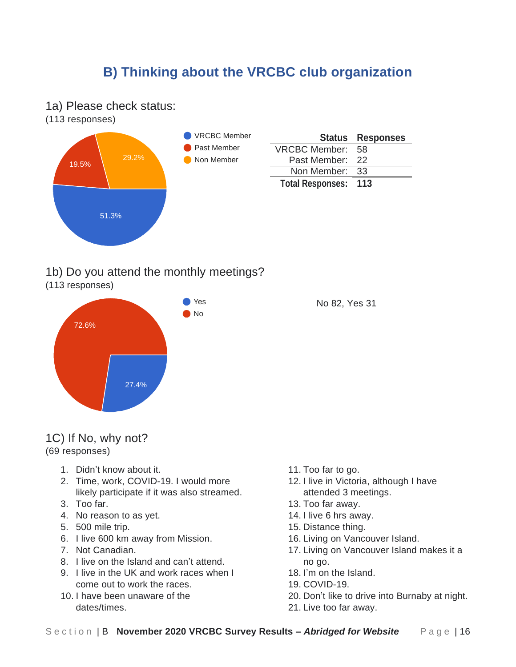<span id="page-21-1"></span><span id="page-21-0"></span>1a) Please check status:

(113 responses)



|                         | <b>Status Responses</b> |
|-------------------------|-------------------------|
| <b>VRCBC Member:</b>    | 58                      |
| Past Member: 22         |                         |
| Non Member:             | -33                     |
| <b>Total Responses:</b> | 113                     |

<span id="page-21-2"></span>1b) Do you attend the monthly meetings?

(113 responses)



No 82, Yes 31

<span id="page-21-3"></span>1C) If No, why not? (69 responses)

- 1. Didn't know about it.
- 2. Time, work, COVID-19. I would more likely participate if it was also streamed.
- 3. Too far.
- 4. No reason to as yet.
- 5. 500 mile trip.
- 6. I live 600 km away from Mission.
- 7. Not Canadian.
- 8. I live on the Island and can't attend.
- 9. I live in the UK and work races when I come out to work the races.
- 10. I have been unaware of the dates/times.
- 11. Too far to go.
- 12. I live in Victoria, although I have attended 3 meetings.
- 13. Too far away.
- 14. I live 6 hrs away.
- 15. Distance thing.
- 16. Living on Vancouver Island.
- 17. Living on Vancouver Island makes it a no go.
- 18. I'm on the Island.
- 19. COVID-19.
- 20. Don't like to drive into Burnaby at night.
	-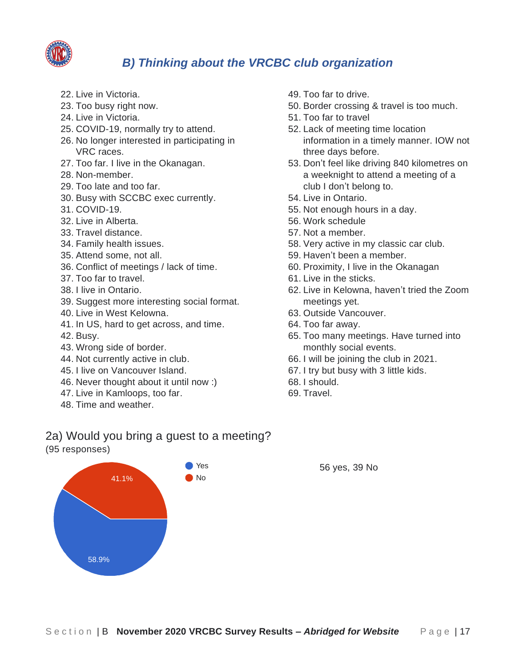

- 22. Live in Victoria.
- 23. Too busy right now.
- 24. Live in Victoria.
- 25. COVID-19, normally try to attend.
- 26. No longer interested in participating in VRC races.
- 27. Too far. I live in the Okanagan.
- 28. Non-member.
- 29. Too late and too far.
- 30. Busy with SCCBC exec currently.
- 31. COVID-19.
- 32. Live in Alberta.
- 33. Travel distance.
- 34. Family health issues.
- 35. Attend some, not all.
- 36. Conflict of meetings / lack of time.
- 37. Too far to travel.
- 38. I live in Ontario.
- 39. Suggest more interesting social format.
- 40. Live in West Kelowna.
- 41. In US, hard to get across, and time.
- 42. Busy.
- 43. Wrong side of border.
- 44. Not currently active in club.
- 45. I live on Vancouver Island.
- 46. Never thought about it until now :)
- 47. Live in Kamloops, too far.
- 48. Time and weather.
- 49. Too far to drive.
- 50. Border crossing & travel is too much.
- 51. Too far to travel
- 52. Lack of meeting time location information in a timely manner. IOW not three days before.
- 53. Don't feel like driving 840 kilometres on a weeknight to attend a meeting of a club I don't belong to.
- 54. Live in Ontario.
- 55. Not enough hours in a day.
- 56. Work schedule
- 57. Not a member.
- 58. Very active in my classic car club.
- 59. Haven't been a member.
- 60. Proximity, I live in the Okanagan
- 61. Live in the sticks.
- 62. Live in Kelowna, haven't tried the Zoom meetings yet.
- 63. Outside Vancouver.
- 64. Too far away.
- 65. Too many meetings. Have turned into monthly social events.
- 66. I will be joining the club in 2021.
- 67. I try but busy with 3 little kids.
- 68. I should.
- 69. Travel.

#### <span id="page-22-0"></span>2a) Would you bring a guest to a meeting? (95 responses)

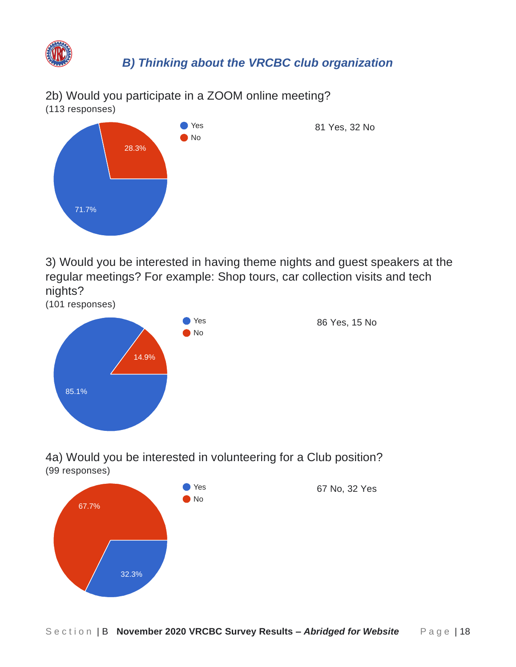

<span id="page-23-0"></span>2b) Would you participate in a ZOOM online meeting? (113 responses)



<span id="page-23-1"></span>3) Would you be interested in having theme nights and guest speakers at the regular meetings? For example: Shop tours, car collection visits and tech nights?



<span id="page-23-2"></span>4a) Would you be interested in volunteering for a Club position? (99 responses)

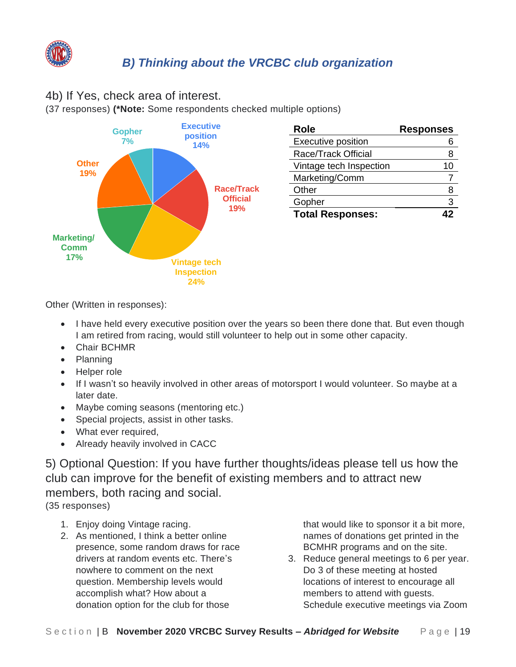

#### <span id="page-24-0"></span>4b) If Yes, check area of interest.

(37 responses) **(\*Note:** Some respondents checked multiple options)



Other (Written in responses):

- I have held every executive position over the years so been there done that. But even though I am retired from racing, would still volunteer to help out in some other capacity.
- Chair BCHMR
- Planning
- Helper role
- If I wasn't so heavily involved in other areas of motorsport I would volunteer. So maybe at a later date.
- Maybe coming seasons (mentoring etc.)
- Special projects, assist in other tasks.
- What ever required,
- Already heavily involved in CACC

<span id="page-24-1"></span>5) Optional Question: If you have further thoughts/ideas please tell us how the club can improve for the benefit of existing members and to attract new members, both racing and social. (35 responses)

- 1. Enjoy doing Vintage racing.
- 2. As mentioned, I think a better online presence, some random draws for race drivers at random events etc. There's nowhere to comment on the next question. Membership levels would accomplish what? How about a donation option for the club for those

that would like to sponsor it a bit more, names of donations get printed in the BCMHR programs and on the site.

3. Reduce general meetings to 6 per year. Do 3 of these meeting at hosted locations of interest to encourage all members to attend with guests.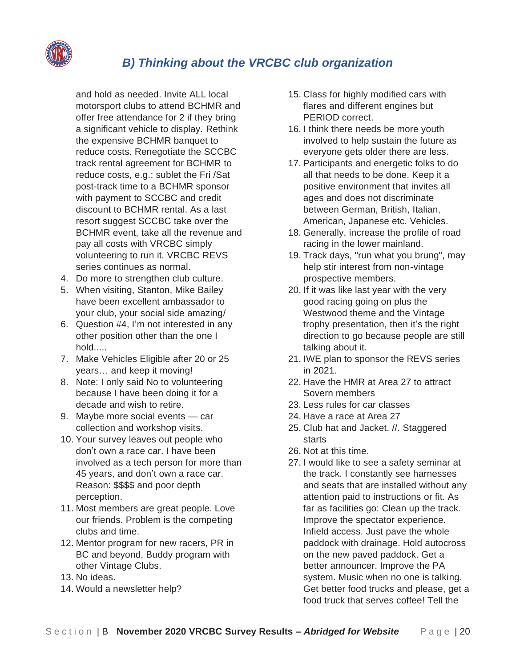

and hold as needed. Invite ALL local motorsport clubs to attend BCHMR and offer free attendance for 2 if they bring a significant vehicle to display. Rethink the expensive BCHMR banquet to reduce costs. Renegotiate the SCCBC track rental agreement for BCHMR to reduce costs, e.g.: sublet the Fri /Sat post-track time to a BCHMR sponsor with payment to SCCBC and credit discount to BCHMR rental. As a last resort suggest SCCBC take over the BCHMR event, take all the revenue and pay all costs with VRCBC simply volunteering to run it. VRCBC REVS series continues as normal.

- 4. Do more to strengthen club culture.
- 5. When visiting, Stanton, Mike Bailey have been excellent ambassador to your club, your social side amazing/
- 6. Question #4, I'm not interested in any other position other than the one I hold.....
- 7. Make Vehicles Eligible after 20 or 25 years… and keep it moving!
- 8. Note: I only said No to volunteering because I have been doing it for a decade and wish to retire.
- 9. Maybe more social events car collection and workshop visits.
- 10. Your survey leaves out people who don't own a race car. I have been involved as a tech person for more than 45 years, and don't own a race car. Reason: \$\$\$\$ and poor depth perception.
- 11. Most members are great people. Love our friends. Problem is the competing clubs and time.
- 12. Mentor program for new racers, PR in BC and beyond, Buddy program with other Vintage Clubs.
- 13. No ideas.
- 14. Would a newsletter help?
- 15. Class for highly modified cars with flares and different engines but PERIOD correct.
- 16. I think there needs be more youth involved to help sustain the future as everyone gets older there are less.
- 17. Participants and energetic folks to do all that needs to be done. Keep it a positive environment that invites all ages and does not discriminate between German, British, Italian, American, Japanese etc. Vehicles.
- 18. Generally, increase the profile of road racing in the lower mainland.
- 19. Track days, "run what you brung", may help stir interest from non-vintage prospective members.
- 20. If it was like last year with the very good racing going on plus the Westwood theme and the Vintage trophy presentation, then it's the right direction to go because people are still talking about it.
- 21. IWE plan to sponsor the REVS series in 2021.
- 22. Have the HMR at Area 27 to attract Sovern members
- 23. Less rules for car classes
- 24. Have a race at Area 27
- 25. Club hat and Jacket. //. Staggered starts
- 26. Not at this time.
- 27. I would like to see a safety seminar at the track. I constantly see harnesses and seats that are installed without any attention paid to instructions or fit. As far as facilities go: Clean up the track. Improve the spectator experience. Infield access. Just pave the whole paddock with drainage. Hold autocross on the new paved paddock. Get a better announcer. Improve the PA system. Music when no one is talking. Get better food trucks and please, get a food truck that serves coffee! Tell the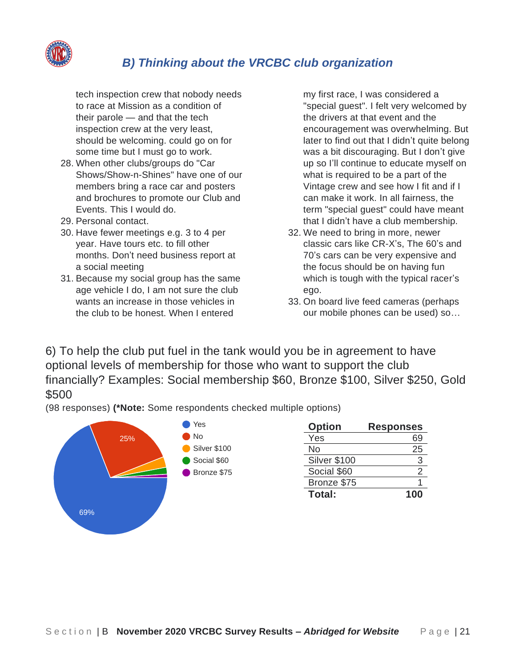

tech inspection crew that nobody needs to race at Mission as a condition of their parole — and that the tech inspection crew at the very least, should be welcoming. could go on for some time but I must go to work.

- 28. When other clubs/groups do "Car Shows/Show-n-Shines" have one of our members bring a race car and posters and brochures to promote our Club and Events. This I would do.
- 29. Personal contact.
- 30. Have fewer meetings e.g. 3 to 4 per year. Have tours etc. to fill other months. Don't need business report at a social meeting
- 31. Because my social group has the same age vehicle I do, I am not sure the club wants an increase in those vehicles in the club to be honest. When I entered

my first race, I was considered a "special guest". I felt very welcomed by the drivers at that event and the encouragement was overwhelming. But later to find out that I didn't quite belong was a bit discouraging. But I don't give up so I'll continue to educate myself on what is required to be a part of the Vintage crew and see how I fit and if I can make it work. In all fairness, the term "special guest" could have meant that I didn't have a club membership.

- 32. We need to bring in more, newer classic cars like CR-X's, The 60's and 70's cars can be very expensive and the focus should be on having fun which is tough with the typical racer's ego.
- 33. On board live feed cameras (perhaps our mobile phones can be used) so…

<span id="page-26-0"></span>6) To help the club put fuel in the tank would you be in agreement to have optional levels of membership for those who want to support the club financially? Examples: Social membership \$60, Bronze \$100, Silver \$250, Gold \$500

(98 responses) **(\*Note:** Some respondents checked multiple options)

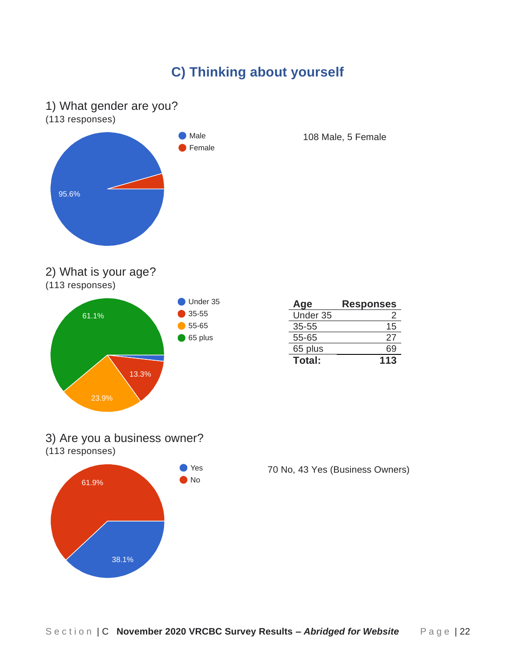# **C) Thinking about yourself**

#### <span id="page-27-1"></span><span id="page-27-0"></span>1) What gender are you?

(113 responses)



108 Male, 5 Female

#### <span id="page-27-2"></span>2) What is your age?

(113 responses)



| Age       | <b>Responses</b> |
|-----------|------------------|
| Under 35  |                  |
| $35 - 55$ | 15               |
| 55-65     | 27               |
| 65 plus   | 69               |
| Total:    | 113              |

#### <span id="page-27-3"></span>3) Are you a business owner? (113 responses)



70 No, 43 Yes (Business Owners)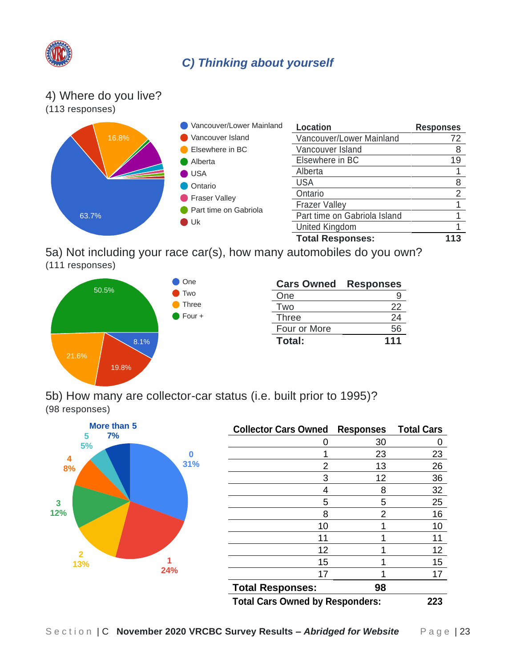

## *C) Thinking about yourself*

#### <span id="page-28-0"></span>4) Where do you live?



<span id="page-28-1"></span>5a) Not including your race car(s), how many automobiles do you own? (111 responses)



| <b>Cars Owned</b> | <b>Responses</b> |
|-------------------|------------------|
| One               |                  |
| Two               | 22               |
| <b>Three</b>      | 24               |
| Four or More      | 56               |
| Total:            | 111              |

<span id="page-28-2"></span>5b) How many are collector-car status (i.e. built prior to 1995)? (98 responses)



| <b>Collector Cars Owned</b>            | <b>Responses</b> | <b>Total Cars</b> |
|----------------------------------------|------------------|-------------------|
|                                        | 30               |                   |
|                                        | 23               | 23                |
| 2                                      | 13               | 26                |
| 3                                      | 12               | 36                |
| 4                                      | 8                | 32                |
| 5                                      | 5                | 25                |
| 8                                      | 2                | 16                |
| 10                                     |                  | 10                |
| 11                                     |                  | 11                |
| 12                                     |                  | 12                |
| 15                                     |                  | 15                |
| 17                                     |                  | 17                |
| <b>Total Responses:</b>                | 98               |                   |
| <b>Total Cars Owned by Responders:</b> | 223              |                   |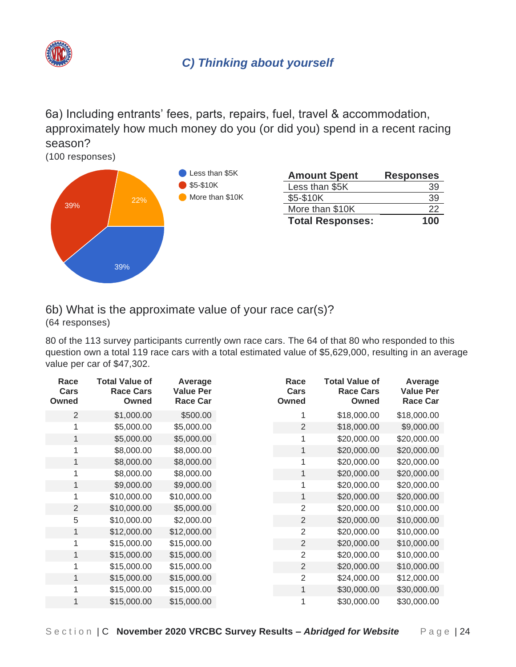

<span id="page-29-0"></span>6a) Including entrants' fees, parts, repairs, fuel, travel & accommodation, approximately how much money do you (or did you) spend in a recent racing season?

(100 responses)



# <span id="page-29-1"></span>6b) What is the approximate value of your race car(s)?

(64 responses)

80 of the 113 survey participants currently own race cars. The 64 of that 80 who responded to this question own a total 119 race cars with a total estimated value of \$5,629,000, resulting in an average value per car of \$47,302.

| Race<br>Cars<br><b>Owned</b> | <b>Total Value of</b><br><b>Race Cars</b><br><b>Owned</b> | Average<br>Value Per<br><b>Race Car</b> | Race<br>Cars<br>Owned | <b>Total Value of</b><br><b>Race Cars</b><br>Owned | Average<br><b>Value Per</b><br><b>Race Car</b> |
|------------------------------|-----------------------------------------------------------|-----------------------------------------|-----------------------|----------------------------------------------------|------------------------------------------------|
| 2                            | \$1,000.00                                                | \$500.00                                |                       | \$18,000.00                                        | \$18,000.00                                    |
| 1                            | \$5,000.00                                                | \$5,000.00                              | $\overline{2}$        | \$18,000.00                                        | \$9,000.00                                     |
| 1                            | \$5,000.00                                                | \$5,000.00                              | 1                     | \$20,000.00                                        | \$20,000.00                                    |
|                              | \$8,000.00                                                | \$8,000.00                              | 1                     | \$20,000.00                                        | \$20,000.00                                    |
| 1                            | \$8,000.00                                                | \$8,000.00                              | 1                     | \$20,000.00                                        | \$20,000.00                                    |
| 1                            | \$8,000.00                                                | \$8,000.00                              | 1                     | \$20,000.00                                        | \$20,000.00                                    |
| 1                            | \$9,000.00                                                | \$9,000.00                              | 1                     | \$20,000.00                                        | \$20,000.00                                    |
|                              | \$10,000.00                                               | \$10,000.00                             | 1                     | \$20,000.00                                        | \$20,000.00                                    |
| $\overline{2}$               | \$10,000.00                                               | \$5,000.00                              | $\overline{2}$        | \$20,000.00                                        | \$10,000.00                                    |
| 5                            | \$10,000.00                                               | \$2,000.00                              | $\overline{2}$        | \$20,000.00                                        | \$10,000.00                                    |
| 1                            | \$12,000.00                                               | \$12,000.00                             | $\overline{2}$        | \$20,000.00                                        | \$10,000.00                                    |
| 1                            | \$15,000.00                                               | \$15,000.00                             | 2                     | \$20,000.00                                        | \$10,000.00                                    |
| 1                            | \$15,000.00                                               | \$15,000.00                             | $\overline{2}$        | \$20,000.00                                        | \$10,000.00                                    |
|                              | \$15,000.00                                               | \$15,000.00                             | $\overline{2}$        | \$20,000.00                                        | \$10,000.00                                    |
| 1                            | \$15,000.00                                               | \$15,000.00                             | 2                     | \$24,000.00                                        | \$12,000.00                                    |
|                              | \$15,000.00                                               | \$15,000.00                             | 1                     | \$30,000.00                                        | \$30,000.00                                    |
|                              | \$15,000.00                                               | \$15,000.00                             | 1                     | \$30,000.00                                        | \$30,000.00                                    |